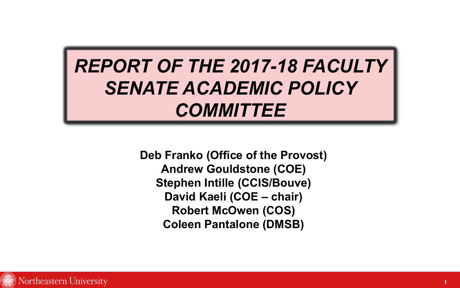# *REPORT OF THE 2017-18 FACULTY SENATE ACADEMIC POLICY COMMITTEE*

**Deb Franko (Office of the Provost) Andrew Gouldstone (COE) Stephen Intille (CCIS/Bouve) David Kaeli (COE – chair) Robert McOwen (COS) Coleen Pantalone (DMSB)**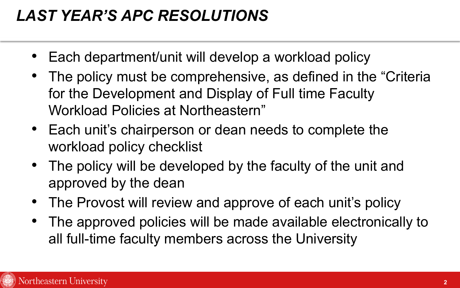#### *LAST YEAR'S APC RESOLUTIONS*

- Each department/unit will develop a workload policy
- The policy must be comprehensive, as defined in the "Criteria for the Development and Display of Full time Faculty Workload Policies at Northeastern"
- Each unit's chairperson or dean needs to complete the workload policy checklist
- The policy will be developed by the faculty of the unit and approved by the dean
- The Provost will review and approve of each unit's policy
- The approved policies will be made available electronically to all full-time faculty members across the University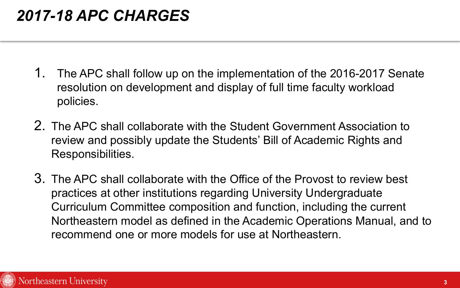#### *2017-18 APC CHARGES*

- 1. The APC shall follow up on the implementation of the 2016-2017 Senate resolution on development and display of full time faculty workload policies.
- 2. The APC shall collaborate with the Student Government Association to review and possibly update the Students' Bill of Academic Rights and Responsibilities.
- 3. The APC shall collaborate with the Office of the Provost to review best practices at other institutions regarding University Undergraduate Curriculum Committee composition and function, including the current Northeastern model as defined in the Academic Operations Manual, and to recommend one or more models for use at Northeastern.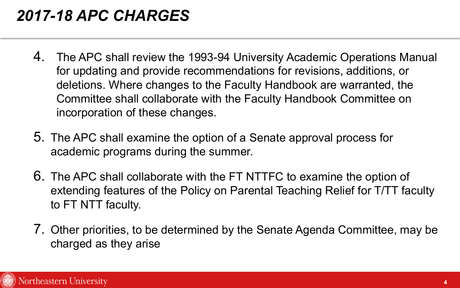#### *2017-18 APC CHARGES*

- 4. The APC shall review the 1993-94 University Academic Operations Manual for updating and provide recommendations for revisions, additions, or deletions. Where changes to the Faculty Handbook are warranted, the Committee shall collaborate with the Faculty Handbook Committee on incorporation of these changes.
- 5. The APC shall examine the option of a Senate approval process for academic programs during the summer.
- 6. The APC shall collaborate with the FT NTTFC to examine the option of extending features of the Policy on Parental Teaching Relief for T/TT faculty to FT NTT faculty.
- 7. Other priorities, to be determined by the Senate Agenda Committee, may be charged as they arise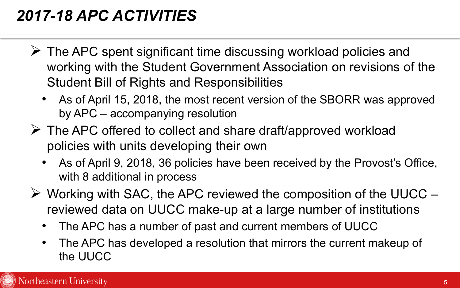### *2017-18 APC ACTIVITIES*

- $\triangleright$  The APC spent significant time discussing workload policies and working with the Student Government Association on revisions of the Student Bill of Rights and Responsibilities
	- As of April 15, 2018, the most recent version of the SBORR was approved by APC – accompanying resolution
- $\triangleright$  The APC offered to collect and share draft/approved workload policies with units developing their own
	- As of April 9, 2018, 36 policies have been received by the Provost's Office, with 8 additional in process
- $\triangleright$  Working with SAC, the APC reviewed the composition of the UUCC reviewed data on UUCC make-up at a large number of institutions
	- The APC has a number of past and current members of UUCC
	- The APC has developed a resolution that mirrors the current makeup of the UUCC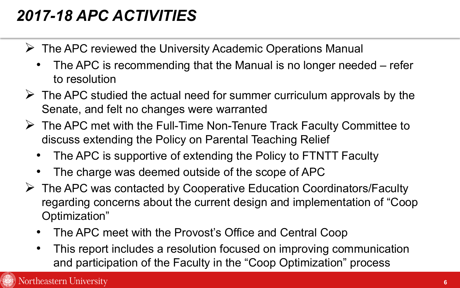## *2017-18 APC ACTIVITIES*

- $\triangleright$  The APC reviewed the University Academic Operations Manual
	- The APC is recommending that the Manual is no longer needed refer to resolution
- $\triangleright$  The APC studied the actual need for summer curriculum approvals by the Senate, and felt no changes were warranted
- $\triangleright$  The APC met with the Full-Time Non-Tenure Track Faculty Committee to discuss extending the Policy on Parental Teaching Relief
	- The APC is supportive of extending the Policy to FTNTT Faculty
	- The charge was deemed outside of the scope of APC
- $\triangleright$  The APC was contacted by Cooperative Education Coordinators/Faculty regarding concerns about the current design and implementation of "Coop Optimization"
	- The APC meet with the Provost's Office and Central Coop
	- This report includes a resolution focused on improving communication and participation of the Faculty in the "Coop Optimization" process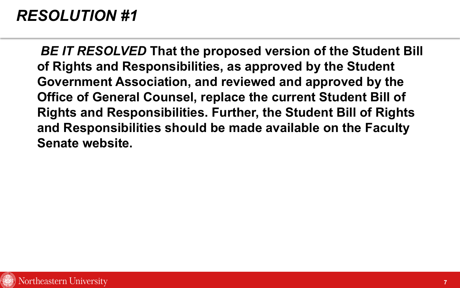*BE IT RESOLVED* **That the proposed version of the Student Bill of Rights and Responsibilities, as approved by the Student Government Association, and reviewed and approved by the Office of General Counsel, replace the current Student Bill of Rights and Responsibilities. Further, the Student Bill of Rights and Responsibilities should be made available on the Faculty Senate website.**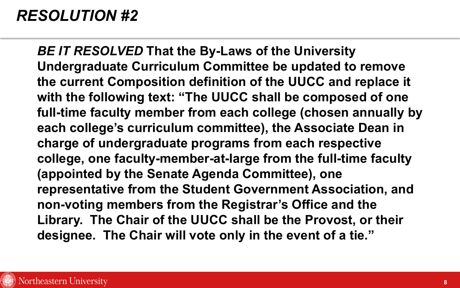*BE IT RESOLVED* **That the By-Laws of the University Undergraduate Curriculum Committee be updated to remove the current Composition definition of the UUCC and replace it with the following text: "The UUCC shall be composed of one full-time faculty member from each college (chosen annually by each college's curriculum committee), the Associate Dean in charge of undergraduate programs from each respective college, one faculty-member-at-large from the full-time faculty (appointed by the Senate Agenda Committee), one representative from the Student Government Association, and non-voting members from the Registrar's Office and the Library. The Chair of the UUCC shall be the Provost, or their designee. The Chair will vote only in the event of a tie."**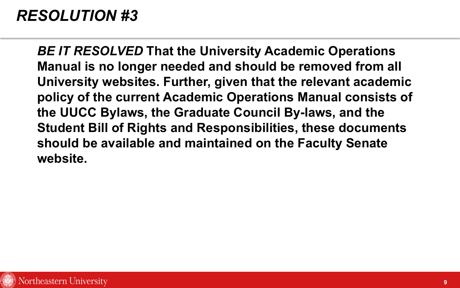*BE IT RESOLVED* **That the University Academic Operations Manual is no longer needed and should be removed from all University websites. Further, given that the relevant academic policy of the current Academic Operations Manual consists of the UUCC Bylaws, the Graduate Council By-laws, and the Student Bill of Rights and Responsibilities, these documents should be available and maintained on the Faculty Senate website.**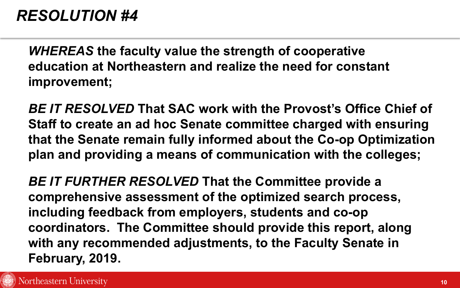*WHEREAS* **the faculty value the strength of cooperative education at Northeastern and realize the need for constant improvement;**

*BE IT RESOLVED* **That SAC work with the Provost's Office Chief of Staff to create an ad hoc Senate committee charged with ensuring that the Senate remain fully informed about the Co-op Optimization plan and providing a means of communication with the colleges;**

*BE IT FURTHER RESOLVED* **That the Committee provide a comprehensive assessment of the optimized search process, including feedback from employers, students and co-op coordinators. The Committee should provide this report, along with any recommended adjustments, to the Faculty Senate in February, 2019.**